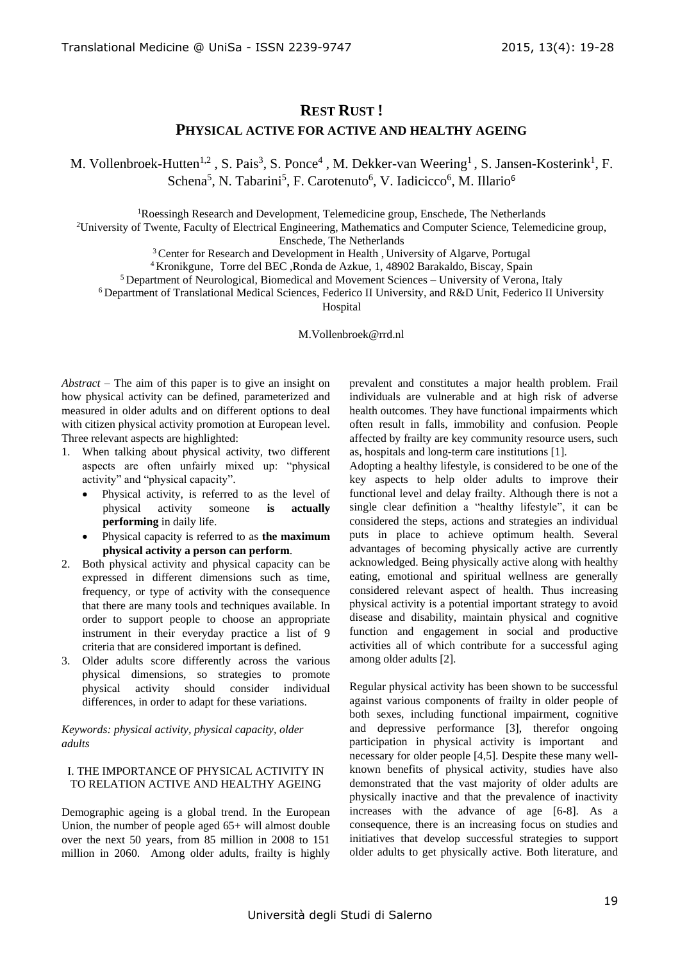# **REST RUST !**

### **PHYSICAL ACTIVE FOR ACTIVE AND HEALTHY AGEING**

M. Vollenbroek-Hutten<sup>1,2</sup>, S. Pais<sup>3</sup>, S. Ponce<sup>4</sup>, M. Dekker-van Weering<sup>1</sup>, S. Jansen-Kosterink<sup>1</sup>, F. Schena<sup>5</sup>, N. Tabarini<sup>5</sup>, F. Carotenuto<sup>6</sup>, V. Iadicicco<sup>6</sup>, M. Illario<sup>6</sup>

<sup>1</sup>Roessingh Research and Development, Telemedicine group, Enschede, The Netherlands

<sup>2</sup>University of Twente, Faculty of Electrical Engineering, Mathematics and Computer Science, Telemedicine group,

Enschede, The Netherlands

<sup>3</sup> Center for Research and Development in Health, University of Algarve, Portugal

<sup>4</sup>Kronikgune, Torre del BEC ,Ronda de Azkue, 1, 48902 Barakaldo, Biscay, Spain

<sup>5</sup> Department of Neurological, Biomedical and Movement Sciences – University of Verona, Italy

<sup>6</sup>Department of Translational Medical Sciences, Federico II University, and R&D Unit, Federico II University

Hospital

M.Vollenbroek@rrd.nl

*Abstract* – The aim of this paper is to give an insight on how physical activity can be defined, parameterized and measured in older adults and on different options to deal with citizen physical activity promotion at European level. Three relevant aspects are highlighted:

- 1. When talking about physical activity, two different aspects are often unfairly mixed up: "physical activity" and "physical capacity".
	- Physical activity, is referred to as the level of physical activity someone **is actually performing** in daily life.
	- Physical capacity is referred to as **the maximum physical activity a person can perform**.
- 2. Both physical activity and physical capacity can be expressed in different dimensions such as time, frequency, or type of activity with the consequence that there are many tools and techniques available. In order to support people to choose an appropriate instrument in their everyday practice a list of 9 criteria that are considered important is defined.
- 3. Older adults score differently across the various physical dimensions, so strategies to promote physical activity should consider individual differences, in order to adapt for these variations.

*Keywords: physical activity, physical capacity, older adults*

### I. THE IMPORTANCE OF PHYSICAL ACTIVITY IN TO RELATION ACTIVE AND HEALTHY AGEING

Demographic ageing is a global trend. In the European Union, the number of people aged 65+ will almost double over the next 50 years, from 85 million in 2008 to 151 million in 2060. Among older adults, frailty is highly prevalent and constitutes a major health problem. Frail individuals are vulnerable and at high risk of adverse health outcomes. They have functional impairments which often result in falls, immobility and confusion. People affected by frailty are key community resource users, such as, hospitals and long-term care institutions [1].

Adopting a healthy lifestyle, is considered to be one of the key aspects to help older adults to improve their functional level and delay frailty. Although there is not a single clear definition a "healthy lifestyle", it can be considered the steps, actions and strategies an individual puts in place to achieve optimum health. Several advantages of becoming physically active are currently acknowledged. Being physically active along with healthy eating, emotional and spiritual wellness are generally considered relevant aspect of health. Thus increasing physical activity is a potential important strategy to avoid disease and disability, maintain physical and cognitive function and engagement in social and productive activities all of which contribute for a successful aging among older adults [2].

Regular physical activity has been shown to be successful against various components of frailty in older people of both sexes, including functional impairment, cognitive and depressive performance [3], therefor ongoing participation in physical activity is important and necessary for older people [4,5]. Despite these many wellknown benefits of physical activity, studies have also demonstrated that the vast majority of older adults are physically inactive and that the prevalence of inactivity increases with the advance of age [6-8]. As a consequence, there is an increasing focus on studies and initiatives that develop successful strategies to support older adults to get physically active. Both literature, and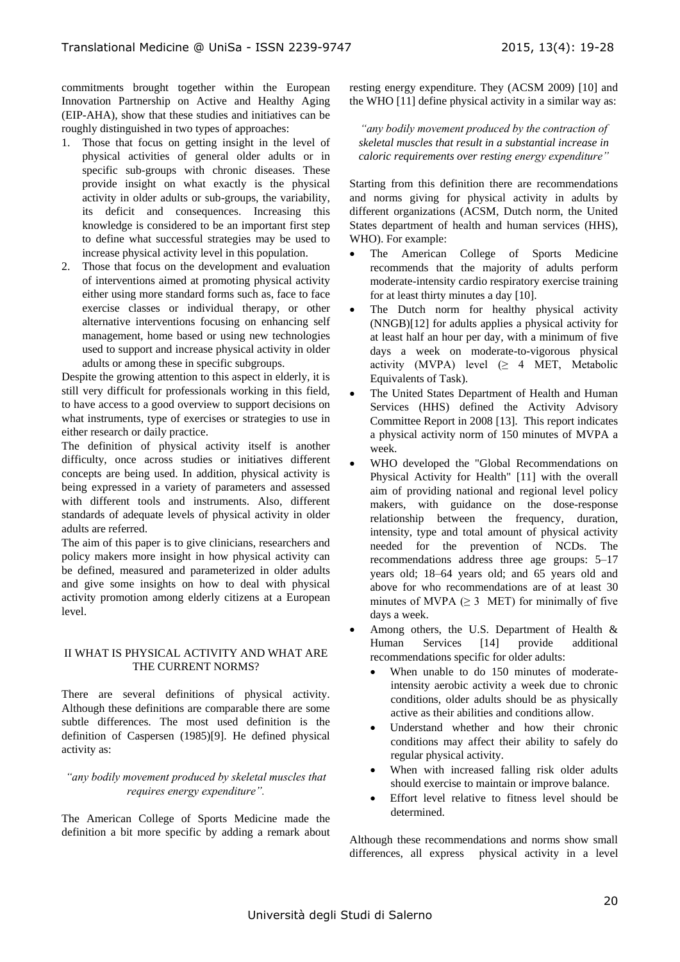commitments brought together within the European Innovation Partnership on Active and Healthy Aging (EIP-AHA), show that these studies and initiatives can be roughly distinguished in two types of approaches:

- 1. Those that focus on getting insight in the level of physical activities of general older adults or in specific sub-groups with chronic diseases. These provide insight on what exactly is the physical activity in older adults or sub-groups, the variability, its deficit and consequences. Increasing this knowledge is considered to be an important first step to define what successful strategies may be used to increase physical activity level in this population.
- 2. Those that focus on the development and evaluation of interventions aimed at promoting physical activity either using more standard forms such as, face to face exercise classes or individual therapy, or other alternative interventions focusing on enhancing self management, home based or using new technologies used to support and increase physical activity in older adults or among these in specific subgroups.

Despite the growing attention to this aspect in elderly, it is still very difficult for professionals working in this field, to have access to a good overview to support decisions on what instruments, type of exercises or strategies to use in either research or daily practice.

The definition of physical activity itself is another difficulty, once across studies or initiatives different concepts are being used. In addition, physical activity is being expressed in a variety of parameters and assessed with different tools and instruments. Also, different standards of adequate levels of physical activity in older adults are referred.

The aim of this paper is to give clinicians, researchers and policy makers more insight in how physical activity can be defined, measured and parameterized in older adults and give some insights on how to deal with physical activity promotion among elderly citizens at a European level.

## II WHAT IS PHYSICAL ACTIVITY AND WHAT ARE THE CURRENT NORMS?

There are several definitions of physical activity. Although these definitions are comparable there are some subtle differences. The most used definition is the definition of Caspersen (1985)[9]. He defined physical activity as:

### *"any bodily movement produced by skeletal muscles that requires energy expenditure".*

The American College of Sports Medicine made the definition a bit more specific by adding a remark about resting energy expenditure. They (ACSM 2009) [10] and the WHO [11] define physical activity in a similar way as:

*"any bodily movement produced by the contraction of skeletal muscles that result in a substantial increase in caloric requirements over resting energy expenditure"*

Starting from this definition there are recommendations and norms giving for physical activity in adults by different organizations (ACSM, Dutch norm, the United States department of health and human services (HHS), WHO). For example:

- The American College of Sports Medicine recommends that the majority of adults perform moderate-intensity cardio respiratory exercise training for at least thirty minutes a day [10].
- The Dutch norm for healthy physical activity (NNGB)[\[12](#page-8-0)] for adults applies a physical activity for at least half an hour per day, with a minimum of five days a week on moderate-to-vigorous physical activity (MVPA) level  $(≥ 4 MET, Metabolic)$ Equivalents of Task).
- The United States Department of Health and Human Services (HHS) defined the Activity Advisory Committee Report in 2008 [13]. This report indicates a physical activity norm of 150 minutes of MVPA a week.
- WHO developed the "Global Recommendations on Physical Activity for Health" [11] with the overall aim of providing national and regional level policy makers, with guidance on the dose-response relationship between the frequency, duration, intensity, type and total amount of physical activity needed for the prevention of NCDs. The recommendations address three age groups: 5–17 years old; 18–64 years old; and 65 years old and above for who recommendations are of at least 30 minutes of MVPA  $(\geq 3$  MET) for minimally of five days a week.
- Among others, the U.S. Department of Health & Human Services [14] provide additional recommendations specific for older adults:
	- When unable to do 150 minutes of moderateintensity aerobic activity a week due to chronic conditions, older adults should be as physically active as their abilities and conditions allow.
	- Understand whether and how their chronic conditions may affect their ability to safely do regular physical activity.
	- When with increased falling risk older adults should exercise to maintain or improve balance.
	- Effort level relative to fitness level should be determined.

Although these recommendations and norms show small differences, all express physical activity in a level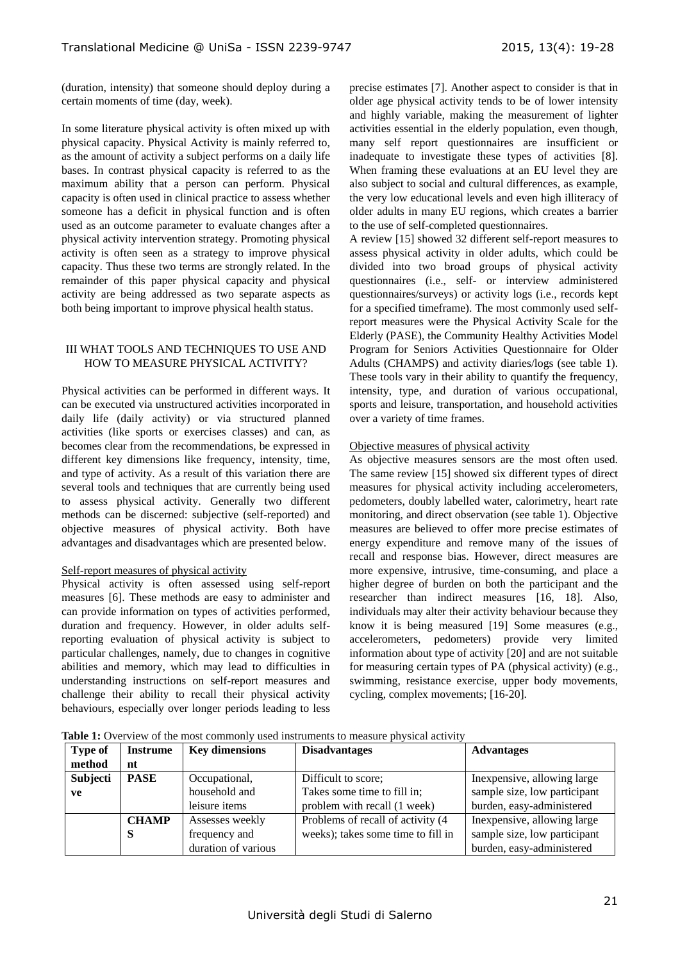(duration, intensity) that someone should deploy during a certain moments of time (day, week).

In some literature physical activity is often mixed up with physical capacity. Physical Activity is mainly referred to, as the amount of activity a subject performs on a daily life bases. In contrast physical capacity is referred to as the maximum ability that a person can perform. Physical capacity is often used in clinical practice to assess whether someone has a deficit in physical function and is often used as an outcome parameter to evaluate changes after a physical activity intervention strategy. Promoting physical activity is often seen as a strategy to improve physical capacity. Thus these two terms are strongly related. In the remainder of this paper physical capacity and physical activity are being addressed as two separate aspects as both being important to improve physical health status.

#### III WHAT TOOLS AND TECHNIQUES TO USE AND HOW TO MEASURE PHYSICAL ACTIVITY?

Physical activities can be performed in different ways. It can be executed via unstructured activities incorporated in daily life (daily activity) or via structured planned activities (like sports or exercises classes) and can, as becomes clear from the recommendations, be expressed in different key dimensions like frequency, intensity, time, and type of activity. As a result of this variation there are several tools and techniques that are currently being used to assess physical activity. Generally two different methods can be discerned: subjective (self-reported) and objective measures of physical activity. Both have advantages and disadvantages which are presented below.

#### Self-report measures of physical activity

Physical activity is often assessed using self-report measures [6]. These methods are easy to administer and can provide information on types of activities performed, duration and frequency. However, in older adults selfreporting evaluation of physical activity is subject to particular challenges, namely, due to changes in cognitive abilities and memory, which may lead to difficulties in understanding instructions on self-report measures and challenge their ability to recall their physical activity behaviours, especially over longer periods leading to less

precise estimates [7]. Another aspect to consider is that in older age physical activity tends to be of lower intensity and highly variable, making the measurement of lighter activities essential in the elderly population, even though, many self report questionnaires are insufficient or inadequate to investigate these types of activities [8]. When framing these evaluations at an EU level they are also subject to social and cultural differences, as example, the very low educational levels and even high illiteracy of older adults in many EU regions, which creates a barrier to the use of self-completed questionnaires.

A review [15] showed 32 different self-report measures to assess physical activity in older adults, which could be divided into two broad groups of physical activity questionnaires (i.e., self- or interview administered questionnaires/surveys) or activity logs (i.e., records kept for a specified timeframe). The most commonly used selfreport measures were the Physical Activity Scale for the Elderly (PASE), the Community Healthy Activities Model Program for Seniors Activities Questionnaire for Older Adults (CHAMPS) and activity diaries/logs (see table 1). These tools vary in their ability to quantify the frequency, intensity, type, and duration of various occupational, sports and leisure, transportation, and household activities over a variety of time frames.

#### Objective measures of physical activity

As objective measures sensors are the most often used. The same review [15] showed six different types of direct measures for physical activity including accelerometers, pedometers, doubly labelled water, calorimetry, heart rate monitoring, and direct observation (see table 1). Objective measures are believed to offer more precise estimates of energy expenditure and remove many of the issues of recall and response bias. However, direct measures are more expensive, intrusive, time-consuming, and place a higher degree of burden on both the participant and the researcher than indirect measures [16, 18]. Also, individuals may alter their activity behaviour because they know it is being measured [19] Some measures (e.g., accelerometers, pedometers) provide very limited information about type of activity [20] and are not suitable for measuring certain types of PA (physical activity) (e.g., swimming, resistance exercise, upper body movements, cycling, complex movements; [16-20].

**Table 1:** Overview of the most commonly used instruments to measure physical activity

| <b>Type of</b> | <b>Instrume</b> | <b>Key dimensions</b> | <b>Disadvantages</b>                                | <b>Advantages</b>            |  |
|----------------|-----------------|-----------------------|-----------------------------------------------------|------------------------------|--|
| method         | nt              |                       |                                                     |                              |  |
| Subjecti       | <b>PASE</b>     | Occupational,         | Difficult to score;<br>In expensive, allowing large |                              |  |
| ve             |                 | household and         | Takes some time to fill in;                         | sample size, low participant |  |
|                |                 | leisure <i>items</i>  | problem with recall (1 week)                        | burden, easy-administered    |  |
|                | <b>CHAMP</b>    | Assesses weekly       | Problems of recall of activity (4                   | Inexpensive, allowing large  |  |
|                | ъ.              | frequency and         | weeks); takes some time to fill in                  | sample size, low participant |  |
|                |                 | duration of various   |                                                     | burden, easy-administered    |  |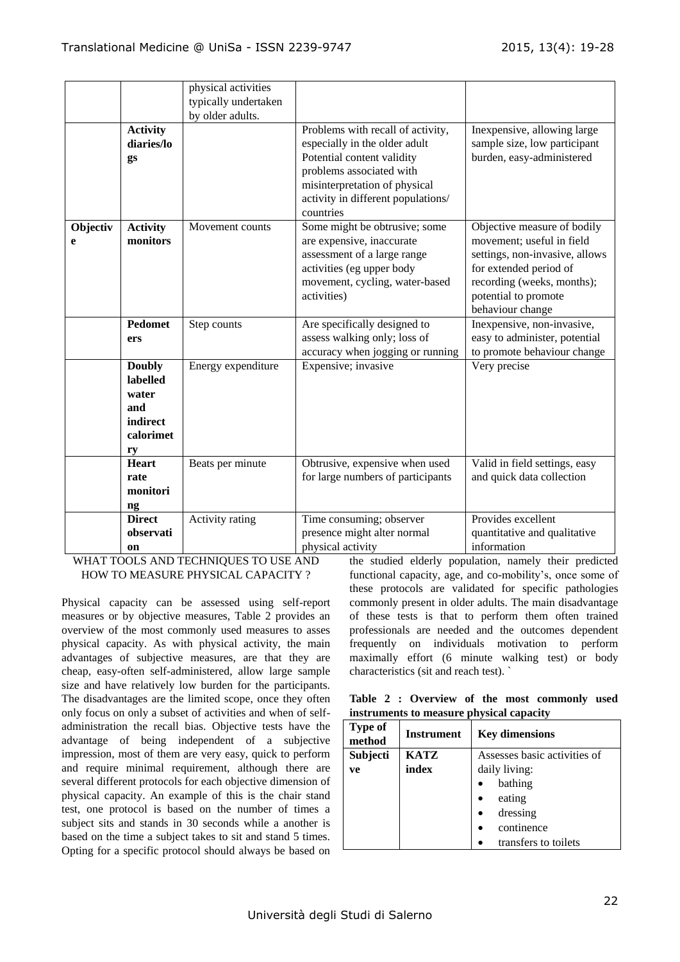|               | <b>Activity</b><br>diaries/lo<br>gs                                      | physical activities<br>typically undertaken<br>by older adults. | Problems with recall of activity,<br>especially in the older adult<br>Potential content validity<br>problems associated with<br>misinterpretation of physical<br>activity in different populations/<br>countries | Inexpensive, allowing large<br>sample size, low participant<br>burden, easy-administered                                                                                                       |
|---------------|--------------------------------------------------------------------------|-----------------------------------------------------------------|------------------------------------------------------------------------------------------------------------------------------------------------------------------------------------------------------------------|------------------------------------------------------------------------------------------------------------------------------------------------------------------------------------------------|
| Objectiv<br>e | <b>Activity</b><br>monitors                                              | Movement counts                                                 | Some might be obtrusive; some<br>are expensive, inaccurate<br>assessment of a large range<br>activities (eg upper body<br>movement, cycling, water-based<br>activities)                                          | Objective measure of bodily<br>movement; useful in field<br>settings, non-invasive, allows<br>for extended period of<br>recording (weeks, months);<br>potential to promote<br>behaviour change |
|               | <b>Pedomet</b><br>ers                                                    | Step counts                                                     | Are specifically designed to<br>assess walking only; loss of<br>accuracy when jogging or running                                                                                                                 | Inexpensive, non-invasive,<br>easy to administer, potential<br>to promote behaviour change                                                                                                     |
|               | <b>Doubly</b><br>labelled<br>water<br>and<br>indirect<br>calorimet<br>ry | Energy expenditure                                              | Expensive; invasive                                                                                                                                                                                              | Very precise                                                                                                                                                                                   |
|               | <b>Heart</b><br>rate<br>monitori<br>ng                                   | Beats per minute                                                | Obtrusive, expensive when used<br>for large numbers of participants                                                                                                                                              | Valid in field settings, easy<br>and quick data collection                                                                                                                                     |
|               | <b>Direct</b><br>observati<br>on                                         | Activity rating                                                 | Time consuming; observer<br>presence might alter normal<br>physical activity                                                                                                                                     | Provides excellent<br>quantitative and qualitative<br>information                                                                                                                              |

WHAT TOOLS AND TECHNIQUES TO USE AND HOW TO MEASURE PHYSICAL CAPACITY ?

Physical capacity can be assessed using self-report measures or by objective measures, Table 2 provides an overview of the most commonly used measures to asses physical capacity. As with physical activity, the main advantages of subjective measures, are that they are cheap, easy-often self-administered, allow large sample size and have relatively low burden for the participants. The disadvantages are the limited scope, once they often only focus on only a subset of activities and when of selfadministration the recall bias. Objective tests have the advantage of being independent of a subjective impression, most of them are very easy, quick to perform and require minimal requirement, although there are several different protocols for each objective dimension of physical capacity. An example of this is the chair stand test, one protocol is based on the number of times a subject sits and stands in 30 seconds while a another is based on the time a subject takes to sit and stand 5 times. Opting for a specific protocol should always be based on the studied elderly population, namely their predicted functional capacity, age, and co-mobility's, once some of these protocols are validated for specific pathologies commonly present in older adults. The main disadvantage of these tests is that to perform them often trained professionals are needed and the outcomes dependent frequently on individuals motivation to perform maximally effort (6 minute walking test) or body characteristics (sit and reach test). `

**Table 2 : Overview of the most commonly used instruments to measure physical capacity** 

| <b>Type of</b><br>method | <b>Instrument</b> | <b>Key dimensions</b>        |  |  |
|--------------------------|-------------------|------------------------------|--|--|
| Subjecti                 | <b>KATZ</b>       | Assesses basic activities of |  |  |
| ve                       | index             | daily living:                |  |  |
|                          |                   | bathing                      |  |  |
|                          |                   | eating                       |  |  |
|                          |                   | dressing                     |  |  |
|                          |                   | continence                   |  |  |
|                          |                   | transfers to toilets         |  |  |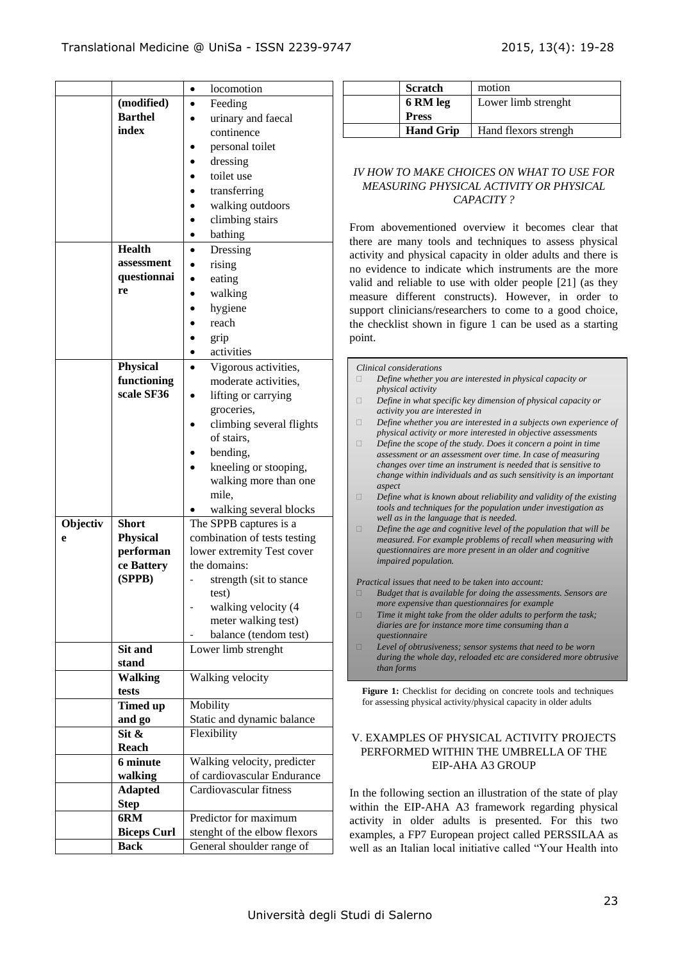|          |                            | locomotion<br>$\bullet$      |
|----------|----------------------------|------------------------------|
|          | (modified)                 | Feeding                      |
|          | <b>Barthel</b>             | urinary and faecal           |
|          | index                      | continence                   |
|          |                            | personal toilet              |
|          |                            | dressing                     |
|          |                            | toilet use                   |
|          |                            | transferring                 |
|          |                            | walking outdoors             |
|          |                            | climbing stairs              |
|          |                            | bathing                      |
|          | <b>Health</b>              | Dressing                     |
|          | assessment                 |                              |
|          | questionnai                | rising                       |
|          | re                         | eating                       |
|          |                            | walking                      |
|          |                            | hygiene                      |
|          |                            | reach                        |
|          |                            | grip                         |
|          |                            | activities                   |
|          | <b>Physical</b>            | Vigorous activities,         |
|          | functioning                | moderate activities,         |
|          | scale SF36                 | lifting or carrying          |
|          |                            | groceries,                   |
|          |                            | climbing several flights     |
|          |                            | of stairs,                   |
|          |                            | bending,                     |
|          |                            | kneeling or stooping,        |
|          |                            | walking more than one        |
|          |                            | mile,                        |
|          |                            | walking several blocks       |
| Objectiv | <b>Short</b>               | The SPPB captures is a       |
| e        | <b>Physical</b>            | combination of tests testing |
|          | performan                  | lower extremity Test cover   |
|          | ce Battery                 | the domains:                 |
|          | (SPPB)                     | strength (sit to stance      |
|          |                            | test)                        |
|          |                            | walking velocity (4          |
|          |                            | meter walking test)          |
|          |                            | balance (tendom test)        |
|          | Sit and                    | Lower limb strenght          |
|          | stand                      |                              |
|          | <b>Walking</b>             | Walking velocity             |
|          | tests                      |                              |
|          | <b>Timed up</b>            | Mobility                     |
|          | and go                     | Static and dynamic balance   |
|          | $\overline{\text{Sit}} \&$ | Flexibility                  |
|          | <b>Reach</b>               |                              |
|          | 6 minute                   | Walking velocity, predicter  |
|          | walking                    | of cardiovascular Endurance  |
|          | <b>Adapted</b>             | Cardiovascular fitness       |
|          | <b>Step</b>                |                              |
|          | 6RM                        | Predictor for maximum        |
|          | <b>Biceps Curl</b>         | stenght of the elbow flexors |
|          |                            |                              |
|          | <b>Back</b>                | General shoulder range of    |

| <b>Scratch</b>   | motion               |
|------------------|----------------------|
| 6 RM leg         | Lower limb strenght  |
| <b>Press</b>     |                      |
| <b>Hand Grip</b> | Hand flexors strengh |

## *IV HOW TO MAKE CHOICES ON WHAT TO USE FOR MEASURING PHYSICAL ACTIVITY OR PHYSICAL CAPACITY ?*

From abovementioned overview it becomes clear that there are many tools and techniques to assess physical activity and physical capacity in older adults and there is no evidence to indicate which instruments are the more valid and reliable to use with older people [21] (as they measure different constructs). However, in order to support clinicians/researchers to come to a good choice, the checklist shown in figure 1 can be used as a starting point.

*Clinical considerations Define whether you are interested in physical capacity or physical activity Define in what specific key dimension of physical capacity or activity you are interested in Define whether you are interested in a subjects own experience of physical activity or more interested in objective assessments Define the scope of the study. Does it concern a point in time assessment or an assessment over time. In case of measuring changes over time an instrument is needed that is sensitive to change within individuals and as such sensitivity is an important aspect Define what is known about reliability and validity of the existing tools and techniques for the population under investigation as well as in the language that is needed. Define the age and cognitive level of the population that will be measured. For example problems of recall when measuring with questionnaires are more present in an older and cognitive impaired population. Practical issues that need to be taken into account: Budget that is available for doing the assessments. Sensors are more expensive than questionnaires for example Time it might take from the older adults to perform the task; diaries are for instance more time consuming than a questionnaire Level of obtrusiveness; sensor systems that need to be worn during the whole day, reloaded etc are considered more obtrusive than forms*

**Figure 1:** Checklist for deciding on concrete tools and techniques for assessing physical activity/physical capacity in older adults

### V. EXAMPLES OF PHYSICAL ACTIVITY PROJECTS PERFORMED WITHIN THE UMBRELLA OF THE EIP-AHA A3 GROUP

In the following section an illustration of the state of play within the EIP-AHA A3 framework regarding physical activity in older adults is presented. For this two examples, a FP7 European project called PERSSILAA as well as an Italian local initiative called "Your Health into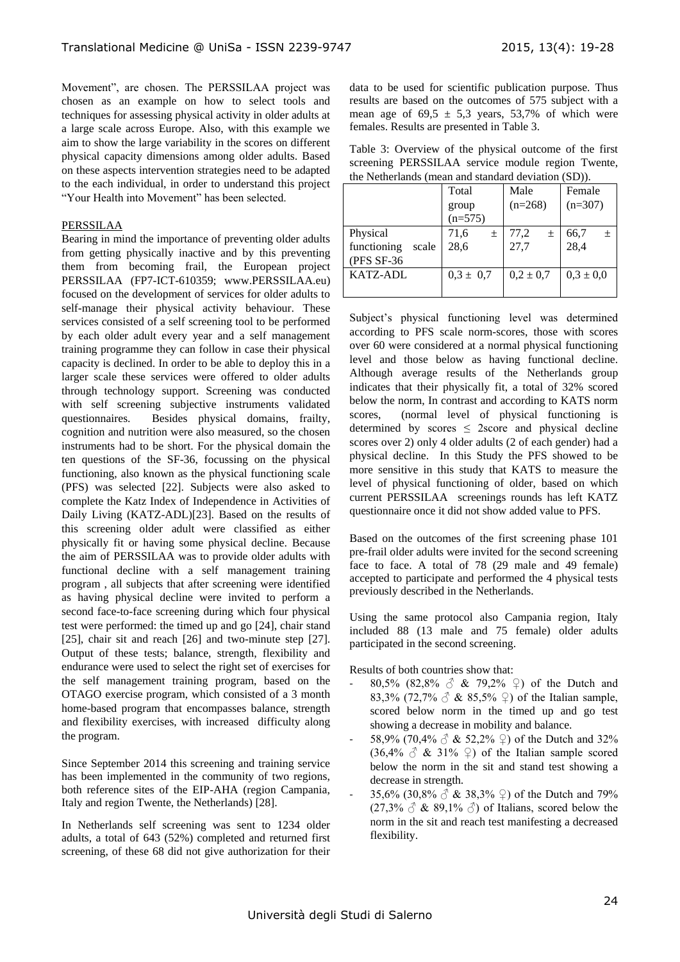Movement", are chosen. The PERSSILAA project was chosen as an example on how to select tools and techniques for assessing physical activity in older adults at a large scale across Europe. Also, with this example we aim to show the large variability in the scores on different physical capacity dimensions among older adults. Based on these aspects intervention strategies need to be adapted to the each individual, in order to understand this project "Your Health into Movement" has been selected.

### PERSSILAA

Bearing in mind the importance of preventing older adults from getting physically inactive and by this preventing them from becoming frail, the European project PERSSILAA (FP7-ICT-610359; www.PERSSILAA.eu) focused on the development of services for older adults to self-manage their physical activity behaviour. These services consisted of a self screening tool to be performed by each older adult every year and a self management training programme they can follow in case their physical capacity is declined. In order to be able to deploy this in a larger scale these services were offered to older adults through technology support. Screening was conducted with self screening subjective instruments validated questionnaires. Besides physical domains, frailty, cognition and nutrition were also measured, so the chosen instruments had to be short. For the physical domain the ten questions of the SF-36, focussing on the physical functioning, also known as the physical functioning scale (PFS) was selected [22]. Subjects were also asked to complete the Katz Index of Independence in Activities of Daily Living (KATZ-ADL)[23]. Based on the results of this screening older adult were classified as either physically fit or having some physical decline. Because the aim of PERSSILAA was to provide older adults with functional decline with a self management training program , all subjects that after screening were identified as having physical decline were invited to perform a second face-to-face screening during which four physical test were performed: the timed up and go [24], chair stand [25], chair sit and reach [26] and two-minute step [27]. Output of these tests; balance, strength, flexibility and endurance were used to select the right set of exercises for the self management training program, based on the OTAGO exercise program, which consisted of a 3 month home-based program that encompasses balance, strength and flexibility exercises, with increased difficulty along the program.

Since September 2014 this screening and training service has been implemented in the community of two regions, both reference sites of the EIP-AHA (region Campania, Italy and region Twente, the Netherlands) [28].

In Netherlands self screening was sent to 1234 older adults, a total of 643 (52%) completed and returned first screening, of these 68 did not give authorization for their data to be used for scientific publication purpose. Thus results are based on the outcomes of 575 subject with a mean age of  $69.5 \pm 5.3$  years, 53,7% of which were females. Results are presented in Table 3.

Table 3: Overview of the physical outcome of the first screening PERSSILAA service module region Twente, the Netherlands (mean and standard deviation (SD)).

|                      | Total         | Male          | Female        |  |
|----------------------|---------------|---------------|---------------|--|
|                      | group         | $(n=268)$     | $(n=307)$     |  |
|                      | $(n=575)$     |               |               |  |
| Physical             | 71,6<br>$\pm$ | 77,2<br>土     | 66,7<br>$\pm$ |  |
| functioning<br>scale | 28,6          | 27,7          | 28,4          |  |
| (PFS SF-36           |               |               |               |  |
| KATZ-ADL             | $0.3 \pm 0.7$ | $0.2 \pm 0.7$ | $0.3 \pm 0.0$ |  |
|                      |               |               |               |  |

Subject's physical functioning level was determined according to PFS scale norm-scores, those with scores over 60 were considered at a normal physical functioning level and those below as having functional decline. Although average results of the Netherlands group indicates that their physically fit, a total of 32% scored below the norm, In contrast and according to KATS norm scores, (normal level of physical functioning is determined by scores  $\leq$  2score and physical decline scores over 2) only 4 older adults (2 of each gender) had a physical decline. In this Study the PFS showed to be more sensitive in this study that KATS to measure the level of physical functioning of older, based on which current PERSSILAA screenings rounds has left KATZ questionnaire once it did not show added value to PFS.

Based on the outcomes of the first screening phase 101 pre-frail older adults were invited for the second screening face to face. A total of 78 (29 male and 49 female) accepted to participate and performed the 4 physical tests previously described in the Netherlands.

Using the same protocol also Campania region, Italy included 88 (13 male and 75 female) older adults participated in the second screening.

Results of both countries show that:

- $80.5\%$   $(82.8\% \text{ A } x 79.2\% \text{ C})$  of the Dutch and 83,3% (72,7%  $\circ$  & 85,5%  $\circ$ ) of the Italian sample, scored below norm in the timed up and go test showing a decrease in mobility and balance.
- 58,9% (70,4%  $\circled{3}$  & 52,2%  $\circled{2}$ ) of the Dutch and 32%  $(36,4\% \text{ } \mathcal{S} \& 31\% \text{ } \mathcal{Q})$  of the Italian sample scored below the norm in the sit and stand test showing a decrease in strength.
- 35,6% (30,8%  $\circled{3}$  & 38,3%  $\circled{2}$ ) of the Dutch and 79%  $(27.3\% \text{ } \overset{\circ}{\circ} \text{ } \& 89.1\% \text{ } \overset{\circ}{\circ} )$  of Italians, scored below the norm in the sit and reach test manifesting a decreased flexibility.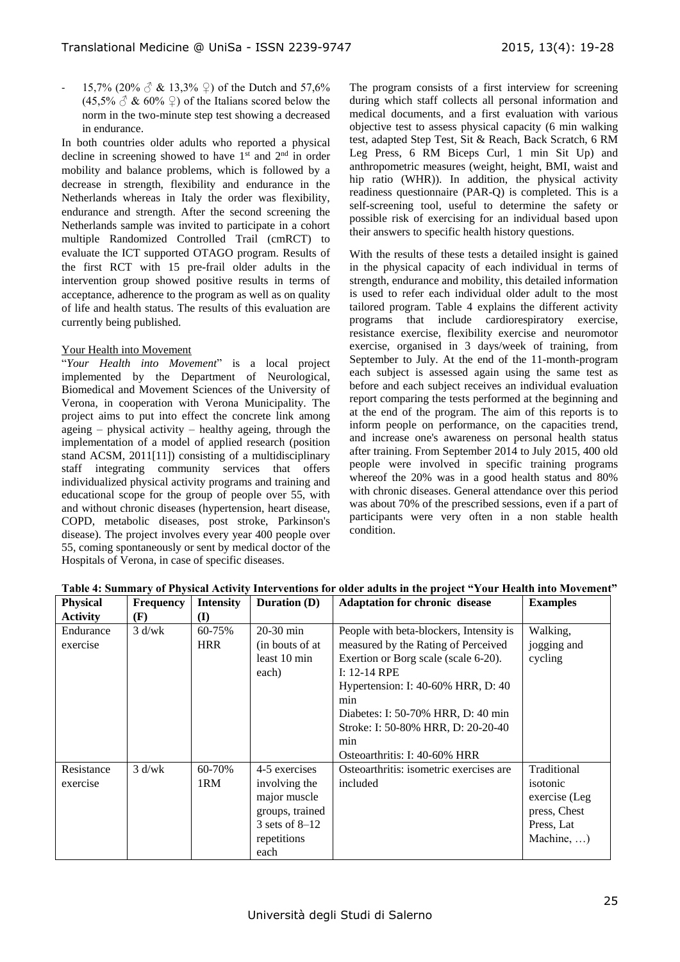15,7% (20%  $\circled{}$  & 13,3%  $\circled{}$ ) of the Dutch and 57,6%  $(45,5\% \stackrel{\frown}{\circ} \& 60\% \stackrel{\frown}{\circ})$  of the Italians scored below the norm in the two-minute step test showing a decreased in endurance.

In both countries older adults who reported a physical decline in screening showed to have  $1<sup>st</sup>$  and  $2<sup>nd</sup>$  in order mobility and balance problems, which is followed by a decrease in strength, flexibility and endurance in the Netherlands whereas in Italy the order was flexibility, endurance and strength. After the second screening the Netherlands sample was invited to participate in a cohort multiple Randomized Controlled Trail (cmRCT) to evaluate the ICT supported OTAGO program. Results of the first RCT with 15 pre-frail older adults in the intervention group showed positive results in terms of acceptance, adherence to the program as well as on quality of life and health status. The results of this evaluation are currently being published.

### Your Health into Movement

"*Your Health into Movement*" is a local project implemented by the Department of Neurological, Biomedical and Movement Sciences of the University of Verona, in cooperation with Verona Municipality. The project aims to put into effect the concrete link among ageing – physical activity – healthy ageing, through the implementation of a model of applied research (position stand ACSM, 2011[11]) consisting of a multidisciplinary staff integrating community services that offers individualized physical activity programs and training and educational scope for the group of people over 55, with and without chronic diseases (hypertension, heart disease, COPD, metabolic diseases, post stroke, Parkinson's disease). The project involves every year 400 people over 55, coming spontaneously or sent by medical doctor of the Hospitals of Verona, in case of specific diseases.

The program consists of a first interview for screening during which staff collects all personal information and medical documents, and a first evaluation with various objective test to assess physical capacity (6 min walking test, adapted Step Test, Sit & Reach, Back Scratch, 6 RM Leg Press, 6 RM Biceps Curl, 1 min Sit Up) and anthropometric measures (weight, height, BMI, waist and hip ratio (WHR)). In addition, the physical activity readiness questionnaire (PAR-Q) is completed. This is a self-screening tool, useful to determine the safety or possible risk of exercising for an individual based upon their answers to specific health history questions.

With the results of these tests a detailed insight is gained in the physical capacity of each individual in terms of strength, endurance and mobility, this detailed information is used to refer each individual older adult to the most tailored program. Table 4 explains the different activity programs that include cardiorespiratory exercise, resistance exercise, flexibility exercise and neuromotor exercise, organised in 3 days/week of training, from September to July. At the end of the 11-month-program each subject is assessed again using the same test as before and each subject receives an individual evaluation report comparing the tests performed at the beginning and at the end of the program. The aim of this reports is to inform people on performance, on the capacities trend, and increase one's awareness on personal health status after training. From September 2014 to July 2015, 400 old people were involved in specific training programs whereof the 20% was in a good health status and 80% with chronic diseases. General attendance over this period was about 70% of the prescribed sessions, even if a part of participants were very often in a non stable health condition.

| <b>Physical</b> | <b>Frequency</b> | <b>Intensity</b> | <b>Duration</b> ( <b>D</b> ) | <b>Adaptation for chronic disease</b>   | <b>Examples</b>    |
|-----------------|------------------|------------------|------------------------------|-----------------------------------------|--------------------|
| <b>Activity</b> | (F)              | (I)              |                              |                                         |                    |
| Endurance       | $3 \frac{d}{w}$  | 60-75%           | 20-30 min                    | People with beta-blockers, Intensity is | Walking,           |
| exercise        |                  | <b>HRR</b>       | (in bouts of at)             | measured by the Rating of Perceived     | jogging and        |
|                 |                  |                  | least 10 min                 | Exertion or Borg scale (scale 6-20).    | cycling            |
|                 |                  |                  | each)                        | $I: 12-14$ RPE                          |                    |
|                 |                  |                  |                              | Hypertension: I: 40-60% HRR, D: 40      |                    |
|                 |                  |                  |                              | min                                     |                    |
|                 |                  |                  |                              | Diabetes: I: 50-70% HRR, D: 40 min      |                    |
|                 |                  |                  |                              | Stroke: I: 50-80% HRR, D: 20-20-40      |                    |
|                 |                  |                  |                              | min                                     |                    |
|                 |                  |                  |                              | Osteoarthritis: I: 40-60% HRR           |                    |
| Resistance      | $3$ d/wk         | 60-70%           | 4-5 exercises                | Osteoarthritis: isometric exercises are | Traditional        |
| exercise        |                  | 1RM              | involving the                | included                                | isotonic           |
|                 |                  |                  | major muscle                 |                                         | exercise (Leg      |
|                 |                  |                  | groups, trained              |                                         | press, Chest       |
|                 |                  |                  | 3 sets of $8-12$             |                                         | Press, Lat         |
|                 |                  |                  | repetitions                  |                                         | Machine, $\dots$ ) |
|                 |                  |                  | each                         |                                         |                    |

## **Table 4: Summary of Physical Activity Interventions for older adults in the project "Your Health into Movement"**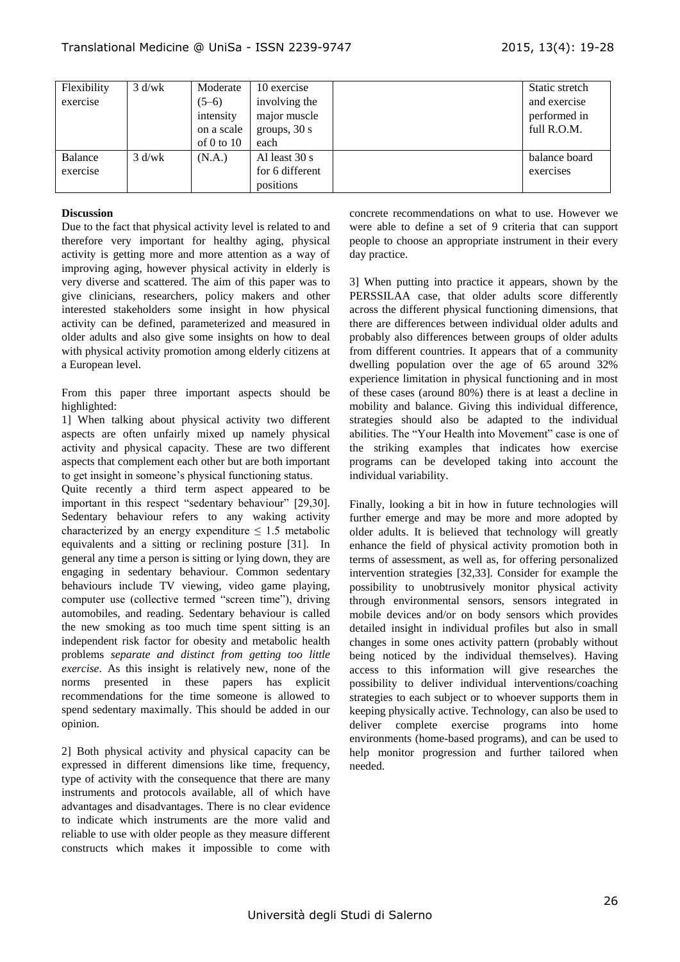| Flexibility | $3$ d/wk | Moderate     | 10 exercise     | Static stretch |
|-------------|----------|--------------|-----------------|----------------|
| exercise    |          | $(5-6)$      | involving the   | and exercise   |
|             |          | intensity    | major muscle    | performed in   |
|             |          | on a scale   | groups, $30 s$  | full R.O.M.    |
|             |          | of 0 to $10$ | each            |                |
| Balance     | $3$ d/wk | (N.A.)       | Al least 30 s   | balance board  |
| exercise    |          |              | for 6 different | exercises      |
|             |          |              | positions       |                |

### **Discussion**

Due to the fact that physical activity level is related to and therefore very important for healthy aging, physical activity is getting more and more attention as a way of improving aging, however physical activity in elderly is very diverse and scattered. The aim of this paper was to give clinicians, researchers, policy makers and other interested stakeholders some insight in how physical activity can be defined, parameterized and measured in older adults and also give some insights on how to deal with physical activity promotion among elderly citizens at a European level.

From this paper three important aspects should be highlighted:

1] When talking about physical activity two different aspects are often unfairly mixed up namely physical activity and physical capacity. These are two different aspects that complement each other but are both important to get insight in someone's physical functioning status.

Quite recently a third term aspect appeared to be important in this respect "sedentary behaviour" [29,30]. Sedentary behaviour refers to any waking activity characterized by an energy expenditure  $\leq 1.5$  metabolic equivalents and a sitting or reclining posture [31]. In general any time a person is sitting or lying down, they are engaging in sedentary behaviour. Common sedentary behaviours include TV viewing, video game playing, computer use (collective termed "screen time"), driving automobiles, and reading. Sedentary behaviour is called the new smoking as too much time spent sitting is an independent risk factor for obesity and metabolic health problems *separate and distinct from getting too little exercise*. As this insight is relatively new, none of the norms presented in these papers has explicit recommendations for the time someone is allowed to spend sedentary maximally. This should be added in our opinion.

2] Both physical activity and physical capacity can be expressed in different dimensions like time, frequency, type of activity with the consequence that there are many instruments and protocols available, all of which have advantages and disadvantages. There is no clear evidence to indicate which instruments are the more valid and reliable to use with older people as they measure different constructs which makes it impossible to come with

concrete recommendations on what to use. However we were able to define a set of 9 criteria that can support people to choose an appropriate instrument in their every day practice.

3] When putting into practice it appears, shown by the PERSSILAA case, that older adults score differently across the different physical functioning dimensions, that there are differences between individual older adults and probably also differences between groups of older adults from different countries. It appears that of a community dwelling population over the age of 65 around 32% experience limitation in physical functioning and in most of these cases (around 80%) there is at least a decline in mobility and balance. Giving this individual difference, strategies should also be adapted to the individual abilities. The "Your Health into Movement" case is one of the striking examples that indicates how exercise programs can be developed taking into account the individual variability.

Finally, looking a bit in how in future technologies will further emerge and may be more and more adopted by older adults. It is believed that technology will greatly enhance the field of physical activity promotion both in terms of assessment, as well as, for offering personalized intervention strategies [32,33]. Consider for example the possibility to unobtrusively monitor physical activity through environmental sensors, sensors integrated in mobile devices and/or on body sensors which provides detailed insight in individual profiles but also in small changes in some ones activity pattern (probably without being noticed by the individual themselves). Having access to this information will give researches the possibility to deliver individual interventions/coaching strategies to each subject or to whoever supports them in keeping physically active. Technology, can also be used to deliver complete exercise programs into home environments (home-based programs), and can be used to help monitor progression and further tailored when needed.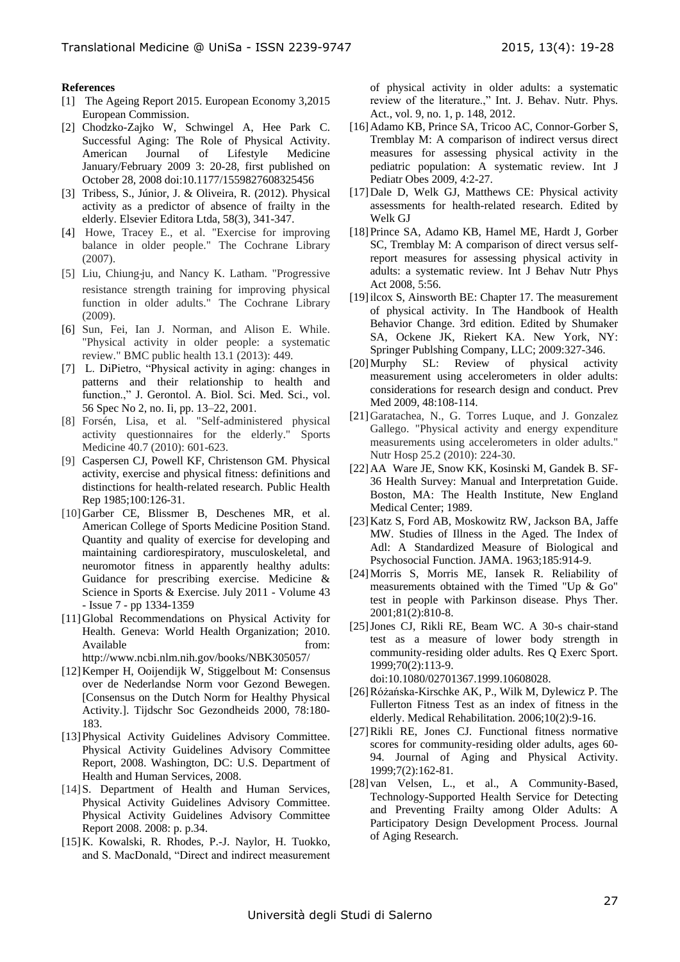#### **References**

- <span id="page-8-0"></span>[1] The Ageing Report 2015. European Economy 3,2015 European Commission.
- [2] Chodzko-Zajko W, Schwingel A, Hee Park C. Successful Aging: The Role of Physical Activity. American Journal of Lifestyle Medicine January/February 2009 3: 20-28, first published on October 28, 2008 doi:10.1177/1559827608325456
- [3] Tribess, S., Júnior, J. & Oliveira, R. (2012). Physical activity as a predictor of absence of frailty in the elderly. Elsevier Editora Ltda, 58(3), 341-347.
- [4] Howe, Tracey E., et al. "Exercise for improving balance in older people." The Cochrane Library (2007).
- [5] Liu, Chiung‐ju, and Nancy K. Latham. "Progressive resistance strength training for improving physical function in older adults." The Cochrane Library (2009).
- [6] Sun, Fei, Ian J. Norman, and Alison E. While. "Physical activity in older people: a systematic review." BMC public health 13.1 (2013): 449.
- [7] L. DiPietro, "Physical activity in aging: changes in patterns and their relationship to health and function.," J. Gerontol. A. Biol. Sci. Med. Sci., vol. 56 Spec No 2, no. Ii, pp. 13–22, 2001.
- [8] Forsén, Lisa, et al. "Self-administered physical activity questionnaires for the elderly." Sports Medicine 40.7 (2010): 601-623.
- [9] Caspersen CJ, Powell KF, Christenson GM. Physical activity, exercise and physical fitness: definitions and distinctions for health-related research. Public Health Rep 1985;100:126-31.
- [10]Garber CE, Blissmer B, Deschenes MR, et al. American College of Sports Medicine Position Stand. Quantity and quality of exercise for developing and maintaining cardiorespiratory, musculoskeletal, and neuromotor fitness in apparently healthy adults: Guidance for prescribing exercise. Medicine & Science in Sports & Exercise. July 2011 - Volume 43 - Issue 7 - pp 1334-1359
- [11]Global Recommendations on Physical Activity for Health. Geneva: World Health Organization; 2010. Available from: http://www.ncbi.nlm.nih.gov/books/NBK305057/
- [12]Kemper H, Ooijendijk W, Stiggelbout M: Consensus over de Nederlandse Norm voor Gezond Bewegen. [Consensus on the Dutch Norm for Healthy Physical Activity.]. Tijdschr Soc Gezondheids 2000, 78:180- 183.
- [13]Physical Activity Guidelines Advisory Committee. Physical Activity Guidelines Advisory Committee Report, 2008. Washington, DC: U.S. Department of Health and Human Services, 2008.
- [14] S. Department of Health and Human Services, Physical Activity Guidelines Advisory Committee. Physical Activity Guidelines Advisory Committee Report 2008. 2008: p. p.34.
- [15]K. Kowalski, R. Rhodes, P.-J. Naylor, H. Tuokko, and S. MacDonald, "Direct and indirect measurement

of physical activity in older adults: a systematic review of the literature.," Int. J. Behav. Nutr. Phys. Act., vol. 9, no. 1, p. 148, 2012.

- [16] Adamo KB, Prince SA, Tricoo AC, Connor-Gorber S, Tremblay M: A comparison of indirect versus direct measures for assessing physical activity in the pediatric population: A systematic review. Int J Pediatr Obes 2009, 4:2-27.
- [17]Dale D, Welk GJ, Matthews CE: Physical activity assessments for health-related research. Edited by Welk GJ
- [18]Prince SA, Adamo KB, Hamel ME, Hardt J, Gorber SC, Tremblay M: A comparison of direct versus selfreport measures for assessing physical activity in adults: a systematic review. Int J Behav Nutr Phys Act 2008, 5:56.
- [19]ilcox S, Ainsworth BE: Chapter 17. The measurement of physical activity. In The Handbook of Health Behavior Change. 3rd edition. Edited by Shumaker SA, Ockene JK, Riekert KA. New York, NY: Springer Publshing Company, LLC; 2009:327-346.
- [20]Murphy SL: Review of physical activity measurement using accelerometers in older adults: considerations for research design and conduct. Prev Med 2009, 48:108-114.
- [21]Garatachea, N., G. Torres Luque, and J. Gonzalez Gallego. "Physical activity and energy expenditure measurements using accelerometers in older adults." Nutr Hosp 25.2 (2010): 224-30.
- [22]AA Ware JE, Snow KK, Kosinski M, Gandek B. SF-36 Health Survey: Manual and Interpretation Guide. Boston, MA: The Health Institute, New England Medical Center; 1989.
- [23]Katz S, Ford AB, Moskowitz RW, Jackson BA, Jaffe MW. Studies of Illness in the Aged. The Index of Adl: A Standardized Measure of Biological and Psychosocial Function. JAMA. 1963;185:914-9.
- [24]Morris S, Morris ME, Iansek R. Reliability of measurements obtained with the Timed "Up & Go" test in people with Parkinson disease. Phys Ther. 2001;81(2):810-8.
- [25]Jones CJ, Rikli RE, Beam WC. A 30-s chair-stand test as a measure of lower body strength in community-residing older adults. Res Q Exerc Sport. 1999;70(2):113-9. doi:10.1080/02701367.1999.10608028.
- [26]Różańska-Kirschke AK, P., Wilk M, Dylewicz P. The Fullerton Fitness Test as an index of fitness in the elderly. Medical Rehabilitation. 2006;10(2):9-16.
- [27]Rikli RE, Jones CJ. Functional fitness normative scores for community-residing older adults, ages 60- 94. Journal of Aging and Physical Activity. 1999;7(2):162-81.
- [28] van Velsen, L., et al., A Community-Based, Technology-Supported Health Service for Detecting and Preventing Frailty among Older Adults: A Participatory Design Development Process. Journal of Aging Research.